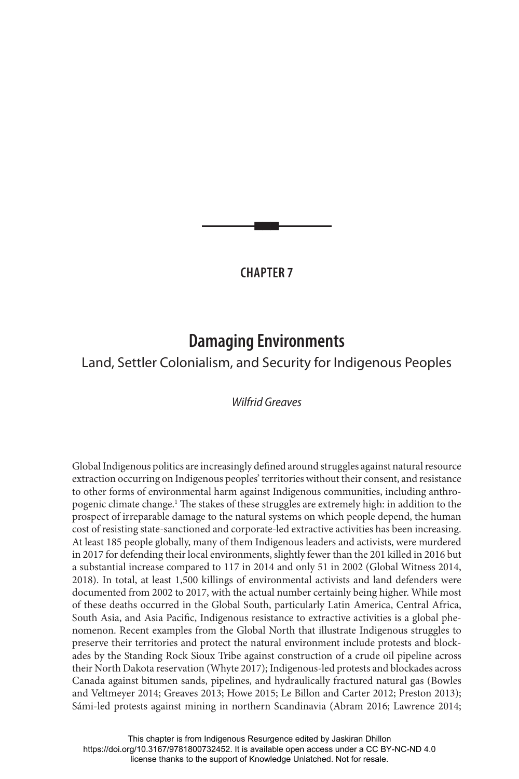

# **CHAPTER 7**

# **Damaging Environments**

# Land, Settler Colonialism, and Security for Indigenous Peoples

# *Wilfrid Greaves*

Global Indigenous politics are increasingly defined around struggles against natural resource extraction occurring on Indigenous peoples' territories without their consent, and resistance to other forms of environmental harm against Indigenous communities, including anthropogenic climate change.<sup>1</sup> The stakes of these struggles are extremely high: in addition to the prospect of irreparable damage to the natural systems on which people depend, the human cost of resisting state-sanctioned and corporate-led extractive activities has been increasing. At least 185 people globally, many of them Indigenous leaders and activists, were murdered in 2017 for defending their local environments, slightly fewer than the 201 killed in 2016 but a substantial increase compared to 117 in 2014 and only 51 in 2002 (Global Witness 2014, 2018). In total, at least 1,500 killings of environmental activists and land defenders were documented from 2002 to 2017, with the actual number certainly being higher. While most of these deaths occurred in the Global South, particularly Latin America, Central Africa, South Asia, and Asia Pacific, Indigenous resistance to extractive activities is a global phenomenon. Recent examples from the Global North that illustrate Indigenous struggles to preserve their territories and protect the natural environment include protests and blockades by the Standing Rock Sioux Tribe against construction of a crude oil pipeline across their North Dakota reservation (Whyte 2017); Indigenous-led protests and blockades across Canada against bitumen sands, pipelines, and hydraulically fractured natural gas (Bowles and Veltmeyer 2014; Greaves 2013; Howe 2015; Le Billon and Carter 2012; Preston 2013); Sámi-led protests against mining in northern Scandinavia (Abram 2016; Lawrence 2014;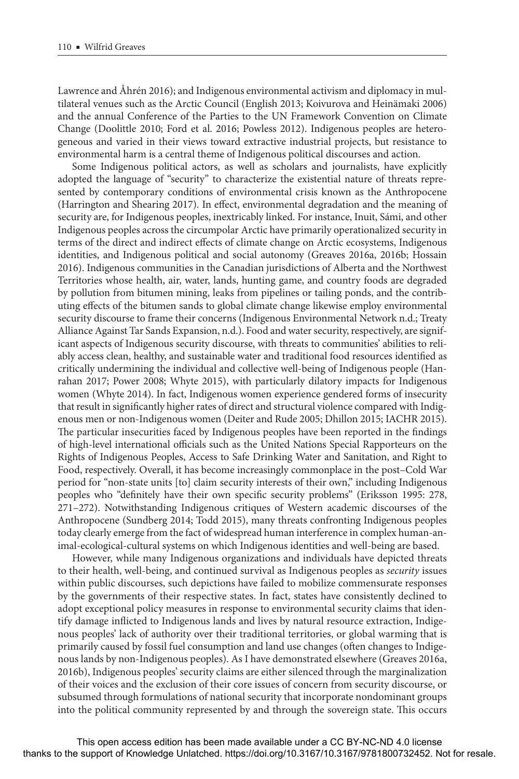Lawrence and Åhrén 2016); and Indigenous environmental activism and diplomacy in multilateral venues such as the Arctic Council (English 2013; Koivurova and Heinämaki 2006) and the annual Conference of the Parties to the UN Framework Convention on Climate Change (Doolittle 2010; Ford et al. 2016; Powless 2012). Indigenous peoples are heterogeneous and varied in their views toward extractive industrial projects, but resistance to environmental harm is a central theme of Indigenous political discourses and action.

Some Indigenous political actors, as well as scholars and journalists, have explicitly adopted the language of "security" to characterize the existential nature of threats represented by contemporary conditions of environmental crisis known as the Anthropocene (Harrington and Shearing 2017). In effect, environmental degradation and the meaning of security are, for Indigenous peoples, inextricably linked. For instance, Inuit, Sámi, and other Indigenous peoples across the circumpolar Arctic have primarily operationalized security in terms of the direct and indirect effects of climate change on Arctic ecosystems, Indigenous identities, and Indigenous political and social autonomy (Greaves 2016a, 2016b; Hossain 2016). Indigenous communities in the Canadian jurisdictions of Alberta and the Northwest Territories whose health, air, water, lands, hunting game, and country foods are degraded by pollution from bitumen mining, leaks from pipelines or tailing ponds, and the contributing effects of the bitumen sands to global climate change likewise employ environmental security discourse to frame their concerns (Indigenous Environmental Network n.d.; Treaty Alliance Against Tar Sands Expansion, n.d.). Food and water security, respectively, are significant aspects of Indigenous security discourse, with threats to communities' abilities to reliably access clean, healthy, and sustainable water and traditional food resources identified as critically undermining the individual and collective well-being of Indigenous people (Hanrahan 2017; Power 2008; Whyte 2015), with particularly dilatory impacts for Indigenous women (Whyte 2014). In fact, Indigenous women experience gendered forms of insecurity that result in significantly higher rates of direct and structural violence compared with Indigenous men or non-Indigenous women (Deiter and Rude 2005; Dhillon 2015; IACHR 2015). The particular insecurities faced by Indigenous peoples have been reported in the findings of high-level international officials such as the United Nations Special Rapporteurs on the Rights of Indigenous Peoples, Access to Safe Drinking Water and Sanitation, and Right to Food, respectively. Overall, it has become increasingly commonplace in the post–Cold War period for "non-state units [to] claim security interests of their own," including Indigenous peoples who "definitely have their own specific security problems" (Eriksson 1995: 278, 271–272). Notwithstanding Indigenous critiques of Western academic discourses of the Anthropocene (Sundberg 2014; Todd 2015), many threats confronting Indigenous peoples today clearly emerge from the fact of widespread human interference in complex human-animal-ecological-cultural systems on which Indigenous identities and well-being are based.

However, while many Indigenous organizations and individuals have depicted threats to their health, well-being, and continued survival as Indigenous peoples as *security* issues within public discourses, such depictions have failed to mobilize commensurate responses by the governments of their respective states. In fact, states have consistently declined to adopt exceptional policy measures in response to environmental security claims that identify damage inflicted to Indigenous lands and lives by natural resource extraction, Indigenous peoples' lack of authority over their traditional territories, or global warming that is primarily caused by fossil fuel consumption and land use changes (often changes to Indigenous lands by non-Indigenous peoples). As I have demonstrated elsewhere (Greaves 2016a, 2016b), Indigenous peoples' security claims are either silenced through the marginalization of their voices and the exclusion of their core issues of concern from security discourse, or subsumed through formulations of national security that incorporate nondominant groups into the political community represented by and through the sovereign state. This occurs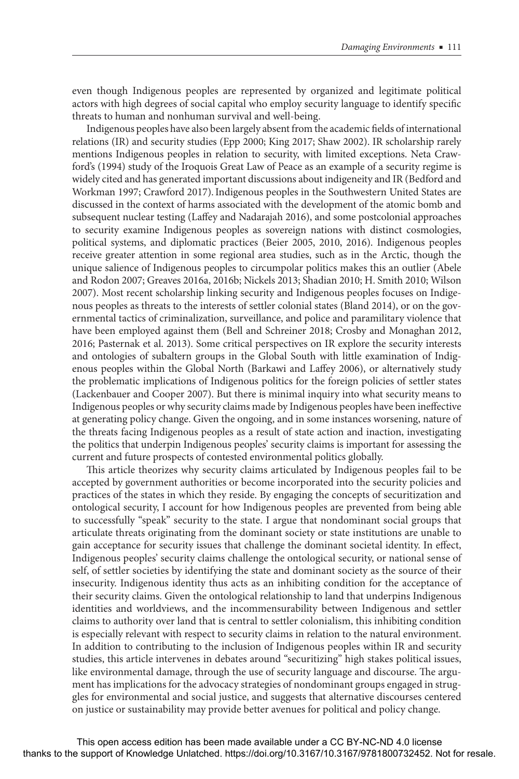even though Indigenous peoples are represented by organized and legitimate political actors with high degrees of social capital who employ security language to identify specific threats to human and nonhuman survival and well-being.

Indigenous peoples have also been largely absent from the academic fields of international relations (IR) and security studies (Epp 2000; King 2017; Shaw 2002). IR scholarship rarely mentions Indigenous peoples in relation to security, with limited exceptions. Neta Crawford's (1994) study of the Iroquois Great Law of Peace as an example of a security regime is widely cited and has generated important discussions about indigeneity and IR (Bedford and Workman 1997; Crawford 2017).Indigenous peoples in the Southwestern United States are discussed in the context of harms associated with the development of the atomic bomb and subsequent nuclear testing (Laffey and Nadarajah 2016), and some postcolonial approaches to security examine Indigenous peoples as sovereign nations with distinct cosmologies, political systems, and diplomatic practices (Beier 2005, 2010, 2016). Indigenous peoples receive greater attention in some regional area studies, such as in the Arctic, though the unique salience of Indigenous peoples to circumpolar politics makes this an outlier (Abele and Rodon 2007; Greaves 2016a, 2016b; Nickels 2013; Shadian 2010; H. Smith 2010; Wilson 2007). Most recent scholarship linking security and Indigenous peoples focuses on Indigenous peoples as threats to the interests of settler colonial states (Bland 2014), or on the governmental tactics of criminalization, surveillance, and police and paramilitary violence that have been employed against them (Bell and Schreiner 2018; Crosby and Monaghan 2012, 2016; Pasternak et al. 2013). Some critical perspectives on IR explore the security interests and ontologies of subaltern groups in the Global South with little examination of Indigenous peoples within the Global North (Barkawi and Laffey 2006), or alternatively study the problematic implications of Indigenous politics for the foreign policies of settler states (Lackenbauer and Cooper 2007). But there is minimal inquiry into what security means to Indigenous peoples or why security claims made by Indigenous peoples have been ineffective at generating policy change. Given the ongoing, and in some instances worsening, nature of the threats facing Indigenous peoples as a result of state action and inaction, investigating the politics that underpin Indigenous peoples' security claims is important for assessing the current and future prospects of contested environmental politics globally.

This article theorizes why security claims articulated by Indigenous peoples fail to be accepted by government authorities or become incorporated into the security policies and practices of the states in which they reside. By engaging the concepts of securitization and ontological security, I account for how Indigenous peoples are prevented from being able to successfully "speak" security to the state. I argue that nondominant social groups that articulate threats originating from the dominant society or state institutions are unable to gain acceptance for security issues that challenge the dominant societal identity. In effect, Indigenous peoples' security claims challenge the ontological security, or national sense of self, of settler societies by identifying the state and dominant society as the source of their insecurity. Indigenous identity thus acts as an inhibiting condition for the acceptance of their security claims. Given the ontological relationship to land that underpins Indigenous identities and worldviews, and the incommensurability between Indigenous and settler claims to authority over land that is central to settler colonialism, this inhibiting condition is especially relevant with respect to security claims in relation to the natural environment. In addition to contributing to the inclusion of Indigenous peoples within IR and security studies, this article intervenes in debates around "securitizing" high stakes political issues, like environmental damage, through the use of security language and discourse. The argument has implications for the advocacy strategies of nondominant groups engaged in struggles for environmental and social justice, and suggests that alternative discourses centered on justice or sustainability may provide better avenues for political and policy change.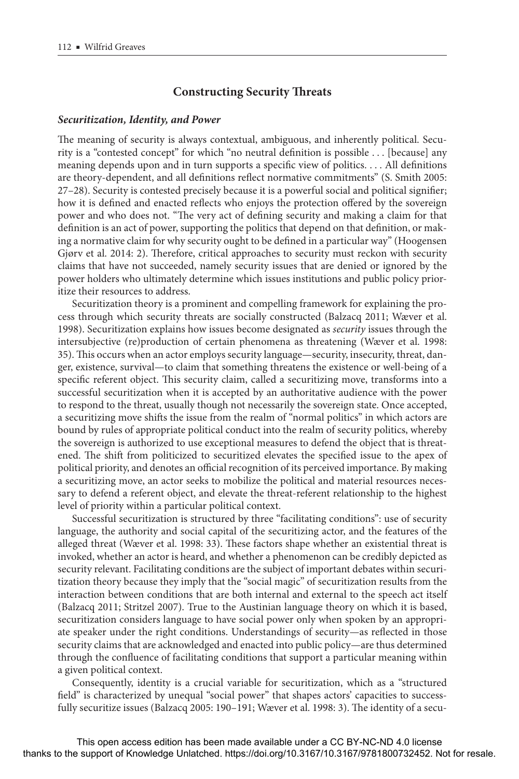# **Constructing Security Threats**

#### *Securitization, Identity, and Power*

The meaning of security is always contextual, ambiguous, and inherently political. Security is a "contested concept" for which "no neutral definition is possible . . . [because] any meaning depends upon and in turn supports a specific view of politics. . . . All definitions are theory-dependent, and all definitions reflect normative commitments" (S. Smith 2005: 27–28). Security is contested precisely because it is a powerful social and political signifier; how it is defined and enacted reflects who enjoys the protection offered by the sovereign power and who does not. "The very act of defining security and making a claim for that definition is an act of power, supporting the politics that depend on that definition, or making a normative claim for why security ought to be defined in a particular way" (Hoogensen Gjørv et al. 2014: 2). Therefore, critical approaches to security must reckon with security claims that have not succeeded, namely security issues that are denied or ignored by the power holders who ultimately determine which issues institutions and public policy prioritize their resources to address.

Securitization theory is a prominent and compelling framework for explaining the process through which security threats are socially constructed (Balzacq 2011; Wæver et al. 1998). Securitization explains how issues become designated as *security* issues through the intersubjective (re)production of certain phenomena as threatening (Wæver et al. 1998: 35). This occurs when an actor employs security language—security, insecurity, threat, danger, existence, survival—to claim that something threatens the existence or well-being of a specific referent object. This security claim, called a securitizing move, transforms into a successful securitization when it is accepted by an authoritative audience with the power to respond to the threat, usually though not necessarily the sovereign state. Once accepted, a securitizing move shifts the issue from the realm of "normal politics" in which actors are bound by rules of appropriate political conduct into the realm of security politics, whereby the sovereign is authorized to use exceptional measures to defend the object that is threatened. The shift from politicized to securitized elevates the specified issue to the apex of political priority, and denotes an official recognition of its perceived importance. By making a securitizing move, an actor seeks to mobilize the political and material resources necessary to defend a referent object, and elevate the threat-referent relationship to the highest level of priority within a particular political context.

Successful securitization is structured by three "facilitating conditions": use of security language, the authority and social capital of the securitizing actor, and the features of the alleged threat (Wæver et al. 1998: 33). These factors shape whether an existential threat is invoked, whether an actor is heard, and whether a phenomenon can be credibly depicted as security relevant. Facilitating conditions are the subject of important debates within securitization theory because they imply that the "social magic" of securitization results from the interaction between conditions that are both internal and external to the speech act itself (Balzacq 2011; Stritzel 2007). True to the Austinian language theory on which it is based, securitization considers language to have social power only when spoken by an appropriate speaker under the right conditions. Understandings of security—as reflected in those security claims that are acknowledged and enacted into public policy—are thus determined through the confluence of facilitating conditions that support a particular meaning within a given political context.

Consequently, identity is a crucial variable for securitization, which as a "structured field" is characterized by unequal "social power" that shapes actors' capacities to successfully securitize issues (Balzacq 2005: 190–191; Wæver et al. 1998: 3). The identity of a secu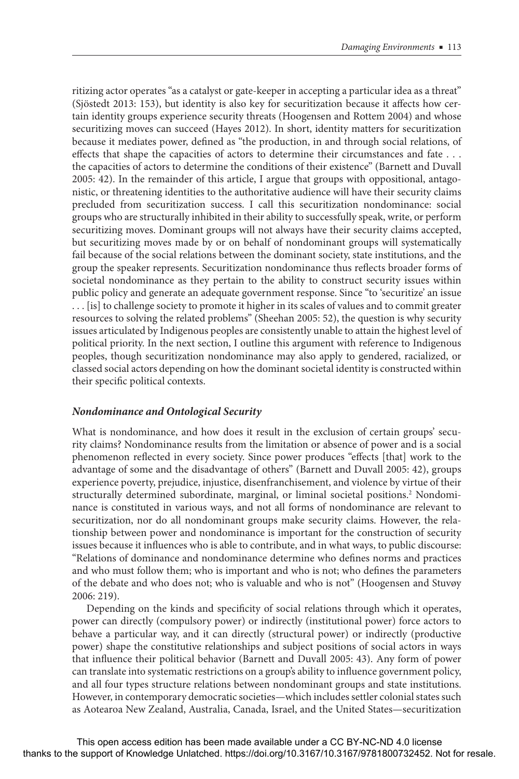ritizing actor operates "as a catalyst or gate-keeper in accepting a particular idea as a threat" (Sjöstedt 2013: 153), but identity is also key for securitization because it affects how certain identity groups experience security threats (Hoogensen and Rottem 2004) and whose securitizing moves can succeed (Hayes 2012). In short, identity matters for securitization because it mediates power, defined as "the production, in and through social relations, of effects that shape the capacities of actors to determine their circumstances and fate . . . the capacities of actors to determine the conditions of their existence" (Barnett and Duvall 2005: 42). In the remainder of this article, I argue that groups with oppositional, antagonistic, or threatening identities to the authoritative audience will have their security claims precluded from securitization success. I call this securitization nondominance: social groups who are structurally inhibited in their ability to successfully speak, write, or perform securitizing moves. Dominant groups will not always have their security claims accepted, but securitizing moves made by or on behalf of nondominant groups will systematically fail because of the social relations between the dominant society, state institutions, and the group the speaker represents. Securitization nondominance thus reflects broader forms of societal nondominance as they pertain to the ability to construct security issues within public policy and generate an adequate government response. Since "to 'securitize' an issue . . . [is] to challenge society to promote it higher in its scales of values and to commit greater resources to solving the related problems" (Sheehan 2005: 52), the question is why security issues articulated by Indigenous peoples are consistently unable to attain the highest level of political priority. In the next section, I outline this argument with reference to Indigenous peoples, though securitization nondominance may also apply to gendered, racialized, or classed social actors depending on how the dominant societal identity is constructed within their specific political contexts.

### *Nondominance and Ontological Security*

What is nondominance, and how does it result in the exclusion of certain groups' security claims? Nondominance results from the limitation or absence of power and is a social phenomenon reflected in every society. Since power produces "effects [that] work to the advantage of some and the disadvantage of others" (Barnett and Duvall 2005: 42), groups experience poverty, prejudice, injustice, disenfranchisement, and violence by virtue of their structurally determined subordinate, marginal, or liminal societal positions.<sup>2</sup> Nondominance is constituted in various ways, and not all forms of nondominance are relevant to securitization, nor do all nondominant groups make security claims. However, the relationship between power and nondominance is important for the construction of security issues because it influences who is able to contribute, and in what ways, to public discourse: "Relations of dominance and nondominance determine who defines norms and practices and who must follow them; who is important and who is not; who defines the parameters of the debate and who does not; who is valuable and who is not" (Hoogensen and Stuvøy 2006: 219).

Depending on the kinds and specificity of social relations through which it operates, power can directly (compulsory power) or indirectly (institutional power) force actors to behave a particular way, and it can directly (structural power) or indirectly (productive power) shape the constitutive relationships and subject positions of social actors in ways that influence their political behavior (Barnett and Duvall 2005: 43). Any form of power can translate into systematic restrictions on a group's ability to influence government policy, and all four types structure relations between nondominant groups and state institutions. However, in contemporary democratic societies—which includes settler colonial states such as Aotearoa New Zealand, Australia, Canada, Israel, and the United States—securitization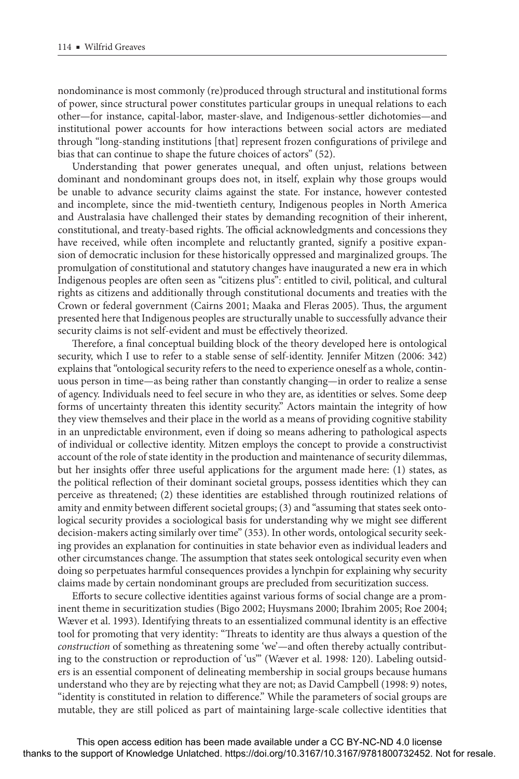nondominance is most commonly (re)produced through structural and institutional forms of power, since structural power constitutes particular groups in unequal relations to each other—for instance, capital-labor, master-slave, and Indigenous-settler dichotomies—and institutional power accounts for how interactions between social actors are mediated through "long-standing institutions [that] represent frozen configurations of privilege and bias that can continue to shape the future choices of actors" (52).

Understanding that power generates unequal, and often unjust, relations between dominant and nondominant groups does not, in itself, explain why those groups would be unable to advance security claims against the state. For instance, however contested and incomplete, since the mid-twentieth century, Indigenous peoples in North America and Australasia have challenged their states by demanding recognition of their inherent, constitutional, and treaty-based rights. The official acknowledgments and concessions they have received, while often incomplete and reluctantly granted, signify a positive expansion of democratic inclusion for these historically oppressed and marginalized groups. The promulgation of constitutional and statutory changes have inaugurated a new era in which Indigenous peoples are often seen as "citizens plus": entitled to civil, political, and cultural rights as citizens and additionally through constitutional documents and treaties with the Crown or federal government (Cairns 2001; Maaka and Fleras 2005). Thus, the argument presented here that Indigenous peoples are structurally unable to successfully advance their security claims is not self-evident and must be effectively theorized.

Therefore, a final conceptual building block of the theory developed here is ontological security, which I use to refer to a stable sense of self-identity. Jennifer Mitzen (2006: 342) explains that "ontological security refers to the need to experience oneself as a whole, continuous person in time—as being rather than constantly changing—in order to realize a sense of agency. Individuals need to feel secure in who they are, as identities or selves. Some deep forms of uncertainty threaten this identity security." Actors maintain the integrity of how they view themselves and their place in the world as a means of providing cognitive stability in an unpredictable environment, even if doing so means adhering to pathological aspects of individual or collective identity. Mitzen employs the concept to provide a constructivist account of the role of state identity in the production and maintenance of security dilemmas, but her insights offer three useful applications for the argument made here: (1) states, as the political reflection of their dominant societal groups, possess identities which they can perceive as threatened; (2) these identities are established through routinized relations of amity and enmity between different societal groups; (3) and "assuming that states seek ontological security provides a sociological basis for understanding why we might see different decision-makers acting similarly over time" (353). In other words, ontological security seeking provides an explanation for continuities in state behavior even as individual leaders and other circumstances change. The assumption that states seek ontological security even when doing so perpetuates harmful consequences provides a lynchpin for explaining why security claims made by certain nondominant groups are precluded from securitization success.

Efforts to secure collective identities against various forms of social change are a prominent theme in securitization studies (Bigo 2002; Huysmans 2000; Ibrahim 2005; Roe 2004; Wæver et al. 1993). Identifying threats to an essentialized communal identity is an effective tool for promoting that very identity: "Threats to identity are thus always a question of the *construction* of something as threatening some 'we'—and often thereby actually contributing to the construction or reproduction of 'us'" (Wæver et al. 1998*:* 120). Labeling outsiders is an essential component of delineating membership in social groups because humans understand who they are by rejecting what they are not; as David Campbell (1998: 9) notes, "identity is constituted in relation to difference." While the parameters of social groups are mutable, they are still policed as part of maintaining large-scale collective identities that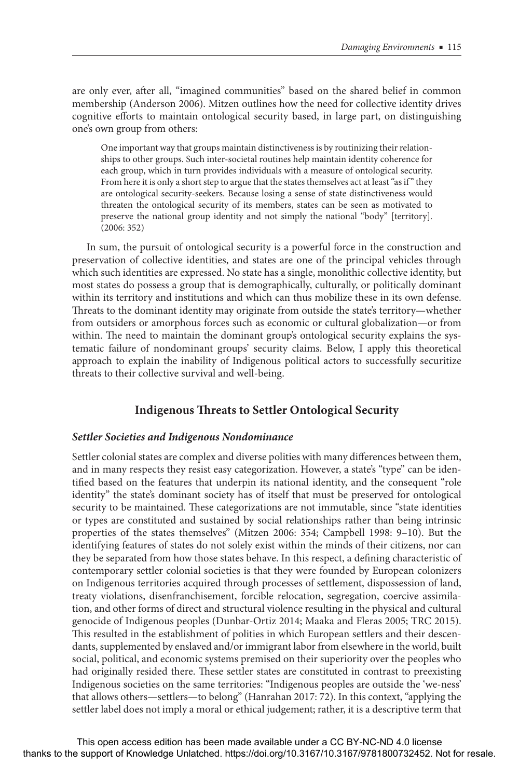are only ever, after all, "imagined communities" based on the shared belief in common membership (Anderson 2006). Mitzen outlines how the need for collective identity drives cognitive efforts to maintain ontological security based, in large part, on distinguishing one's own group from others:

One important way that groups maintain distinctiveness is by routinizing their relationships to other groups. Such inter-societal routines help maintain identity coherence for each group, which in turn provides individuals with a measure of ontological security. From here it is only a short step to argue that the states themselves act at least "as if " they are ontological security-seekers. Because losing a sense of state distinctiveness would threaten the ontological security of its members, states can be seen as motivated to preserve the national group identity and not simply the national "body" [territory]. (2006: 352)

In sum, the pursuit of ontological security is a powerful force in the construction and preservation of collective identities, and states are one of the principal vehicles through which such identities are expressed. No state has a single, monolithic collective identity, but most states do possess a group that is demographically, culturally, or politically dominant within its territory and institutions and which can thus mobilize these in its own defense. Threats to the dominant identity may originate from outside the state's territory—whether from outsiders or amorphous forces such as economic or cultural globalization—or from within. The need to maintain the dominant group's ontological security explains the systematic failure of nondominant groups' security claims. Below, I apply this theoretical approach to explain the inability of Indigenous political actors to successfully securitize threats to their collective survival and well-being.

# **Indigenous Threats to Settler Ontological Security**

### *Settler Societies and Indigenous Nondominance*

Settler colonial states are complex and diverse polities with many differences between them, and in many respects they resist easy categorization. However, a state's "type" can be identified based on the features that underpin its national identity, and the consequent "role identity" the state's dominant society has of itself that must be preserved for ontological security to be maintained. These categorizations are not immutable, since "state identities or types are constituted and sustained by social relationships rather than being intrinsic properties of the states themselves" (Mitzen 2006: 354; Campbell 1998: 9–10). But the identifying features of states do not solely exist within the minds of their citizens, nor can they be separated from how those states behave. In this respect, a defining characteristic of contemporary settler colonial societies is that they were founded by European colonizers on Indigenous territories acquired through processes of settlement, dispossession of land, treaty violations, disenfranchisement, forcible relocation, segregation, coercive assimilation, and other forms of direct and structural violence resulting in the physical and cultural genocide of Indigenous peoples (Dunbar-Ortiz 2014; Maaka and Fleras 2005; TRC 2015). This resulted in the establishment of polities in which European settlers and their descendants, supplemented by enslaved and/or immigrant labor from elsewhere in the world, built social, political, and economic systems premised on their superiority over the peoples who had originally resided there. These settler states are constituted in contrast to preexisting Indigenous societies on the same territories: "Indigenous peoples are outside the 'we-ness' that allows others—settlers—to belong" (Hanrahan 2017: 72). In this context, "applying the settler label does not imply a moral or ethical judgement; rather, it is a descriptive term that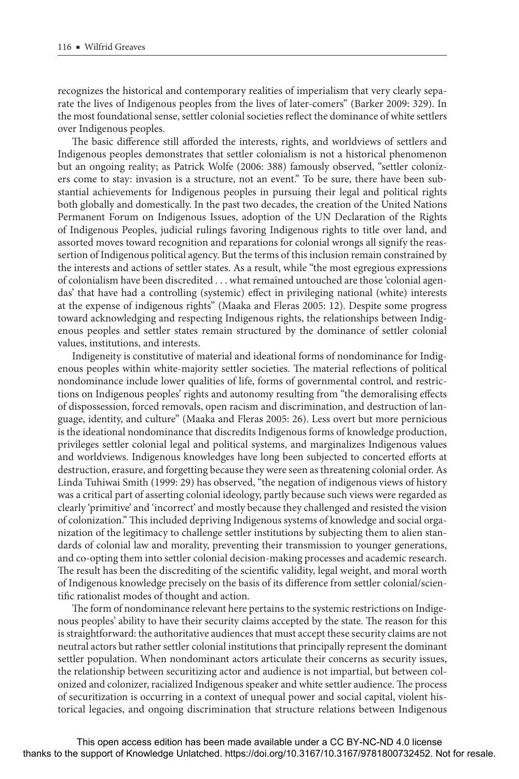recognizes the historical and contemporary realities of imperialism that very clearly separate the lives of Indigenous peoples from the lives of later-comers" (Barker 2009: 329). In the most foundational sense, settler colonial societies reflect the dominance of white settlers over Indigenous peoples.

The basic difference still afforded the interests, rights, and worldviews of settlers and Indigenous peoples demonstrates that settler colonialism is not a historical phenomenon but an ongoing reality; as Patrick Wolfe (2006: 388) famously observed, "settler colonizers come to stay: invasion is a structure, not an event." To be sure, there have been substantial achievements for Indigenous peoples in pursuing their legal and political rights both globally and domestically. In the past two decades, the creation of the United Nations Permanent Forum on Indigenous Issues, adoption of the UN Declaration of the Rights of Indigenous Peoples, judicial rulings favoring Indigenous rights to title over land, and assorted moves toward recognition and reparations for colonial wrongs all signify the reassertion of Indigenous political agency. But the terms of this inclusion remain constrained by the interests and actions of settler states. As a result, while "the most egregious expressions of colonialism have been discredited . . . what remained untouched are those 'colonial agendas' that have had a controlling (systemic) effect in privileging national (white) interests at the expense of indigenous rights" (Maaka and Fleras 2005: 12). Despite some progress toward acknowledging and respecting Indigenous rights, the relationships between Indigenous peoples and settler states remain structured by the dominance of settler colonial values, institutions, and interests.

Indigeneity is constitutive of material and ideational forms of nondominance for Indigenous peoples within white-majority settler societies. The material reflections of political nondominance include lower qualities of life, forms of governmental control, and restrictions on Indigenous peoples' rights and autonomy resulting from "the demoralising effects of dispossession, forced removals, open racism and discrimination, and destruction of language, identity, and culture" (Maaka and Fleras 2005: 26). Less overt but more pernicious is the ideational nondominance that discredits Indigenous forms of knowledge production, privileges settler colonial legal and political systems, and marginalizes Indigenous values and worldviews. Indigenous knowledges have long been subjected to concerted efforts at destruction, erasure, and forgetting because they were seen as threatening colonial order. As Linda Tuhiwai Smith (1999: 29) has observed, "the negation of indigenous views of history was a critical part of asserting colonial ideology, partly because such views were regarded as clearly 'primitive' and 'incorrect' and mostly because they challenged and resisted the vision of colonization." This included depriving Indigenous systems of knowledge and social organization of the legitimacy to challenge settler institutions by subjecting them to alien standards of colonial law and morality, preventing their transmission to younger generations, and co-opting them into settler colonial decision-making processes and academic research. The result has been the discrediting of the scientific validity, legal weight, and moral worth of Indigenous knowledge precisely on the basis of its difference from settler colonial/scientific rationalist modes of thought and action.

The form of nondominance relevant here pertains to the systemic restrictions on Indigenous peoples' ability to have their security claims accepted by the state. The reason for this is straightforward: the authoritative audiences that must accept these security claims are not neutral actors but rather settler colonial institutions that principally represent the dominant settler population. When nondominant actors articulate their concerns as security issues, the relationship between securitizing actor and audience is not impartial, but between colonized and colonizer, racialized Indigenous speaker and white settler audience. The process of securitization is occurring in a context of unequal power and social capital, violent historical legacies, and ongoing discrimination that structure relations between Indigenous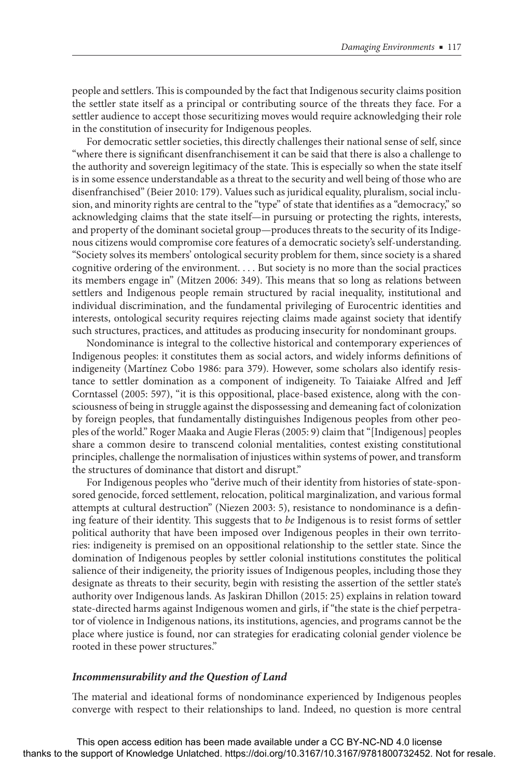people and settlers. This is compounded by the fact that Indigenous security claims position the settler state itself as a principal or contributing source of the threats they face. For a settler audience to accept those securitizing moves would require acknowledging their role in the constitution of insecurity for Indigenous peoples.

For democratic settler societies, this directly challenges their national sense of self, since "where there is significant disenfranchisement it can be said that there is also a challenge to the authority and sovereign legitimacy of the state. This is especially so when the state itself is in some essence understandable as a threat to the security and well being of those who are disenfranchised" (Beier 2010: 179). Values such as juridical equality, pluralism, social inclusion, and minority rights are central to the "type" of state that identifies as a "democracy," so acknowledging claims that the state itself—in pursuing or protecting the rights, interests, and property of the dominant societal group—produces threats to the security of its Indigenous citizens would compromise core features of a democratic society's self-understanding. "Society solves its members' ontological security problem for them, since society is a shared cognitive ordering of the environment. . . . But society is no more than the social practices its members engage in" (Mitzen 2006: 349). This means that so long as relations between settlers and Indigenous people remain structured by racial inequality, institutional and individual discrimination, and the fundamental privileging of Eurocentric identities and interests, ontological security requires rejecting claims made against society that identify such structures, practices, and attitudes as producing insecurity for nondominant groups.

Nondominance is integral to the collective historical and contemporary experiences of Indigenous peoples: it constitutes them as social actors, and widely informs definitions of indigeneity (Martínez Cobo 1986: para 379). However, some scholars also identify resistance to settler domination as a component of indigeneity. To Taiaiake Alfred and Jeff Corntassel (2005: 597), "it is this oppositional, place-based existence, along with the consciousness of being in struggle against the dispossessing and demeaning fact of colonization by foreign peoples, that fundamentally distinguishes Indigenous peoples from other peoples of the world." Roger Maaka and Augie Fleras (2005: 9) claim that "[Indigenous] peoples share a common desire to transcend colonial mentalities, contest existing constitutional principles, challenge the normalisation of injustices within systems of power, and transform the structures of dominance that distort and disrupt."

For Indigenous peoples who "derive much of their identity from histories of state-sponsored genocide, forced settlement, relocation, political marginalization, and various formal attempts at cultural destruction" (Niezen 2003: 5), resistance to nondominance is a defining feature of their identity. This suggests that to *be* Indigenous is to resist forms of settler political authority that have been imposed over Indigenous peoples in their own territories: indigeneity is premised on an oppositional relationship to the settler state. Since the domination of Indigenous peoples by settler colonial institutions constitutes the political salience of their indigeneity, the priority issues of Indigenous peoples, including those they designate as threats to their security, begin with resisting the assertion of the settler state's authority over Indigenous lands. As Jaskiran Dhillon (2015: 25) explains in relation toward state-directed harms against Indigenous women and girls, if "the state is the chief perpetrator of violence in Indigenous nations, its institutions, agencies, and programs cannot be the place where justice is found, nor can strategies for eradicating colonial gender violence be rooted in these power structures."

#### *Incommensurability and the Question of Land*

The material and ideational forms of nondominance experienced by Indigenous peoples converge with respect to their relationships to land. Indeed, no question is more central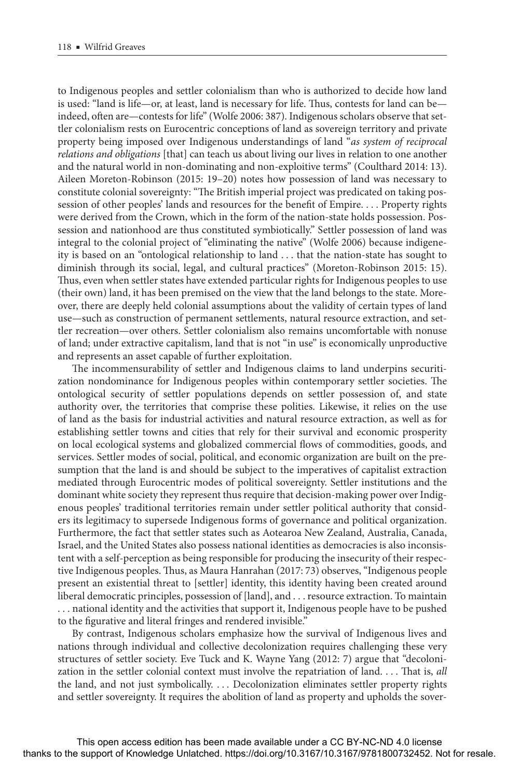to Indigenous peoples and settler colonialism than who is authorized to decide how land is used: "land is life—or, at least, land is necessary for life. Thus, contests for land can be indeed, often are—contests for life" (Wolfe 2006: 387). Indigenous scholars observe that settler colonialism rests on Eurocentric conceptions of land as sovereign territory and private property being imposed over Indigenous understandings of land "*as system of reciprocal relations and obligations* [that] can teach us about living our lives in relation to one another and the natural world in non-dominating and non-exploitive terms" (Coulthard 2014: 13). Aileen Moreton-Robinson (2015: 19–20) notes how possession of land was necessary to constitute colonial sovereignty: "The British imperial project was predicated on taking possession of other peoples' lands and resources for the benefit of Empire. . . . Property rights were derived from the Crown, which in the form of the nation-state holds possession. Possession and nationhood are thus constituted symbiotically." Settler possession of land was integral to the colonial project of "eliminating the native" (Wolfe 2006) because indigeneity is based on an "ontological relationship to land . . . that the nation-state has sought to diminish through its social, legal, and cultural practices" (Moreton-Robinson 2015: 15). Thus, even when settler states have extended particular rights for Indigenous peoples to use (their own) land, it has been premised on the view that the land belongs to the state. Moreover, there are deeply held colonial assumptions about the validity of certain types of land use—such as construction of permanent settlements, natural resource extraction, and settler recreation—over others. Settler colonialism also remains uncomfortable with nonuse of land; under extractive capitalism, land that is not "in use" is economically unproductive and represents an asset capable of further exploitation.

The incommensurability of settler and Indigenous claims to land underpins securitization nondominance for Indigenous peoples within contemporary settler societies. The ontological security of settler populations depends on settler possession of, and state authority over, the territories that comprise these polities. Likewise, it relies on the use of land as the basis for industrial activities and natural resource extraction, as well as for establishing settler towns and cities that rely for their survival and economic prosperity on local ecological systems and globalized commercial flows of commodities, goods, and services. Settler modes of social, political, and economic organization are built on the presumption that the land is and should be subject to the imperatives of capitalist extraction mediated through Eurocentric modes of political sovereignty. Settler institutions and the dominant white society they represent thus require that decision-making power over Indigenous peoples' traditional territories remain under settler political authority that considers its legitimacy to supersede Indigenous forms of governance and political organization. Furthermore, the fact that settler states such as Aotearoa New Zealand, Australia, Canada, Israel, and the United States also possess national identities as democracies is also inconsistent with a self-perception as being responsible for producing the insecurity of their respective Indigenous peoples. Thus, as Maura Hanrahan (2017: 73) observes, "Indigenous people present an existential threat to [settler] identity, this identity having been created around liberal democratic principles, possession of [land], and . . . resource extraction. To maintain . . . national identity and the activities that support it, Indigenous people have to be pushed to the figurative and literal fringes and rendered invisible."

By contrast, Indigenous scholars emphasize how the survival of Indigenous lives and nations through individual and collective decolonization requires challenging these very structures of settler society. Eve Tuck and K. Wayne Yang (2012: 7) argue that "decolonization in the settler colonial context must involve the repatriation of land. . . . That is, *all*  the land, and not just symbolically. . . . Decolonization eliminates settler property rights and settler sovereignty. It requires the abolition of land as property and upholds the sover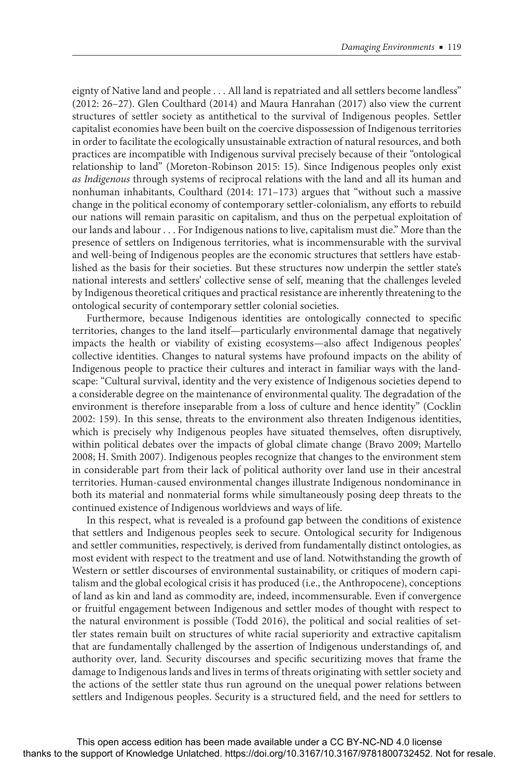eignty of Native land and people . . . All land is repatriated and all settlers become landless" (2012: 26–27). Glen Coulthard (2014) and Maura Hanrahan (2017) also view the current structures of settler society as antithetical to the survival of Indigenous peoples. Settler capitalist economies have been built on the coercive dispossession of Indigenous territories in order to facilitate the ecologically unsustainable extraction of natural resources, and both practices are incompatible with Indigenous survival precisely because of their "ontological relationship to land" (Moreton-Robinson 2015: 15). Since Indigenous peoples only exist *as Indigenous* through systems of reciprocal relations with the land and all its human and nonhuman inhabitants, Coulthard (2014: 171–173) argues that "without such a massive change in the political economy of contemporary settler-colonialism, any efforts to rebuild our nations will remain parasitic on capitalism, and thus on the perpetual exploitation of our lands and labour . . . For Indigenous nations to live, capitalism must die." More than the presence of settlers on Indigenous territories, what is incommensurable with the survival and well-being of Indigenous peoples are the economic structures that settlers have established as the basis for their societies. But these structures now underpin the settler state's national interests and settlers' collective sense of self, meaning that the challenges leveled by Indigenous theoretical critiques and practical resistance are inherently threatening to the ontological security of contemporary settler colonial societies.

Furthermore, because Indigenous identities are ontologically connected to specific territories, changes to the land itself—particularly environmental damage that negatively impacts the health or viability of existing ecosystems—also affect Indigenous peoples' collective identities. Changes to natural systems have profound impacts on the ability of Indigenous people to practice their cultures and interact in familiar ways with the landscape: "Cultural survival, identity and the very existence of Indigenous societies depend to a considerable degree on the maintenance of environmental quality. The degradation of the environment is therefore inseparable from a loss of culture and hence identity" (Cocklin 2002: 159). In this sense, threats to the environment also threaten Indigenous identities, which is precisely why Indigenous peoples have situated themselves, often disruptively, within political debates over the impacts of global climate change (Bravo 2009; Martello 2008; H. Smith 2007). Indigenous peoples recognize that changes to the environment stem in considerable part from their lack of political authority over land use in their ancestral territories. Human-caused environmental changes illustrate Indigenous nondominance in both its material and nonmaterial forms while simultaneously posing deep threats to the continued existence of Indigenous worldviews and ways of life.

In this respect, what is revealed is a profound gap between the conditions of existence that settlers and Indigenous peoples seek to secure. Ontological security for Indigenous and settler communities, respectively, is derived from fundamentally distinct ontologies, as most evident with respect to the treatment and use of land. Notwithstanding the growth of Western or settler discourses of environmental sustainability, or critiques of modern capitalism and the global ecological crisis it has produced (i.e., the Anthropocene), conceptions of land as kin and land as commodity are, indeed, incommensurable. Even if convergence or fruitful engagement between Indigenous and settler modes of thought with respect to the natural environment is possible (Todd 2016), the political and social realities of settler states remain built on structures of white racial superiority and extractive capitalism that are fundamentally challenged by the assertion of Indigenous understandings of, and authority over, land. Security discourses and specific securitizing moves that frame the damage to Indigenous lands and lives in terms of threats originating with settler society and the actions of the settler state thus run aground on the unequal power relations between settlers and Indigenous peoples. Security is a structured field, and the need for settlers to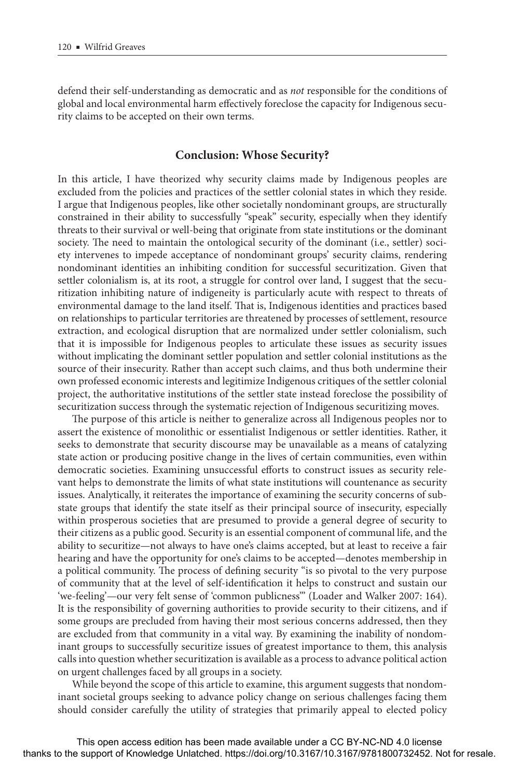defend their self-understanding as democratic and as *not* responsible for the conditions of global and local environmental harm effectively foreclose the capacity for Indigenous security claims to be accepted on their own terms.

## **Conclusion: Whose Security?**

In this article, I have theorized why security claims made by Indigenous peoples are excluded from the policies and practices of the settler colonial states in which they reside. I argue that Indigenous peoples, like other societally nondominant groups, are structurally constrained in their ability to successfully "speak" security, especially when they identify threats to their survival or well-being that originate from state institutions or the dominant society. The need to maintain the ontological security of the dominant (i.e., settler) society intervenes to impede acceptance of nondominant groups' security claims, rendering nondominant identities an inhibiting condition for successful securitization. Given that settler colonialism is, at its root, a struggle for control over land, I suggest that the securitization inhibiting nature of indigeneity is particularly acute with respect to threats of environmental damage to the land itself. That is, Indigenous identities and practices based on relationships to particular territories are threatened by processes of settlement, resource extraction, and ecological disruption that are normalized under settler colonialism, such that it is impossible for Indigenous peoples to articulate these issues as security issues without implicating the dominant settler population and settler colonial institutions as the source of their insecurity. Rather than accept such claims, and thus both undermine their own professed economic interests and legitimize Indigenous critiques of the settler colonial project, the authoritative institutions of the settler state instead foreclose the possibility of securitization success through the systematic rejection of Indigenous securitizing moves.

The purpose of this article is neither to generalize across all Indigenous peoples nor to assert the existence of monolithic or essentialist Indigenous or settler identities. Rather, it seeks to demonstrate that security discourse may be unavailable as a means of catalyzing state action or producing positive change in the lives of certain communities, even within democratic societies. Examining unsuccessful efforts to construct issues as security relevant helps to demonstrate the limits of what state institutions will countenance as security issues. Analytically, it reiterates the importance of examining the security concerns of substate groups that identify the state itself as their principal source of insecurity, especially within prosperous societies that are presumed to provide a general degree of security to their citizens as a public good. Security is an essential component of communal life, and the ability to securitize—not always to have one's claims accepted, but at least to receive a fair hearing and have the opportunity for one's claims to be accepted—denotes membership in a political community. The process of defining security "is so pivotal to the very purpose of community that at the level of self-identification it helps to construct and sustain our 'we-feeling'—our very felt sense of 'common publicness'" (Loader and Walker 2007: 164). It is the responsibility of governing authorities to provide security to their citizens, and if some groups are precluded from having their most serious concerns addressed, then they are excluded from that community in a vital way. By examining the inability of nondominant groups to successfully securitize issues of greatest importance to them, this analysis calls into question whether securitization is available as a process to advance political action on urgent challenges faced by all groups in a society.

While beyond the scope of this article to examine, this argument suggests that nondominant societal groups seeking to advance policy change on serious challenges facing them should consider carefully the utility of strategies that primarily appeal to elected policy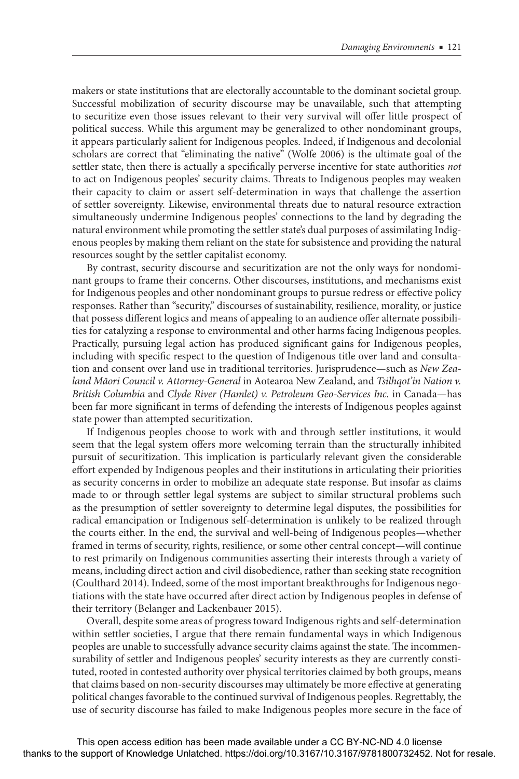makers or state institutions that are electorally accountable to the dominant societal group. Successful mobilization of security discourse may be unavailable, such that attempting to securitize even those issues relevant to their very survival will offer little prospect of political success. While this argument may be generalized to other nondominant groups, it appears particularly salient for Indigenous peoples. Indeed, if Indigenous and decolonial scholars are correct that "eliminating the native" (Wolfe 2006) is the ultimate goal of the settler state, then there is actually a specifically perverse incentive for state authorities *not*  to act on Indigenous peoples' security claims. Threats to Indigenous peoples may weaken their capacity to claim or assert self-determination in ways that challenge the assertion of settler sovereignty. Likewise, environmental threats due to natural resource extraction simultaneously undermine Indigenous peoples' connections to the land by degrading the natural environment while promoting the settler state's dual purposes of assimilating Indigenous peoples by making them reliant on the state for subsistence and providing the natural resources sought by the settler capitalist economy.

By contrast, security discourse and securitization are not the only ways for nondominant groups to frame their concerns. Other discourses, institutions, and mechanisms exist for Indigenous peoples and other nondominant groups to pursue redress or effective policy responses. Rather than "security," discourses of sustainability, resilience, morality, or justice that possess different logics and means of appealing to an audience offer alternate possibilities for catalyzing a response to environmental and other harms facing Indigenous peoples. Practically, pursuing legal action has produced significant gains for Indigenous peoples, including with specific respect to the question of Indigenous title over land and consultation and consent over land use in traditional territories. Jurisprudence—such as *New Zealand Māori Council v. Attorney-General* in Aotearoa New Zealand, and *Tsilhqot'in Nation v. British Columbia* and *Clyde River (Hamlet) v. Petroleum Geo-Services Inc.* in Canada—has been far more significant in terms of defending the interests of Indigenous peoples against state power than attempted securitization.

If Indigenous peoples choose to work with and through settler institutions, it would seem that the legal system offers more welcoming terrain than the structurally inhibited pursuit of securitization. This implication is particularly relevant given the considerable effort expended by Indigenous peoples and their institutions in articulating their priorities as security concerns in order to mobilize an adequate state response. But insofar as claims made to or through settler legal systems are subject to similar structural problems such as the presumption of settler sovereignty to determine legal disputes, the possibilities for radical emancipation or Indigenous self-determination is unlikely to be realized through the courts either. In the end, the survival and well-being of Indigenous peoples—whether framed in terms of security, rights, resilience, or some other central concept—will continue to rest primarily on Indigenous communities asserting their interests through a variety of means, including direct action and civil disobedience, rather than seeking state recognition (Coulthard 2014). Indeed, some of the most important breakthroughs for Indigenous negotiations with the state have occurred after direct action by Indigenous peoples in defense of their territory (Belanger and Lackenbauer 2015).

Overall, despite some areas of progress toward Indigenous rights and self-determination within settler societies, I argue that there remain fundamental ways in which Indigenous peoples are unable to successfully advance security claims against the state. The incommensurability of settler and Indigenous peoples' security interests as they are currently constituted, rooted in contested authority over physical territories claimed by both groups, means that claims based on non-security discourses may ultimately be more effective at generating political changes favorable to the continued survival of Indigenous peoples. Regrettably, the use of security discourse has failed to make Indigenous peoples more secure in the face of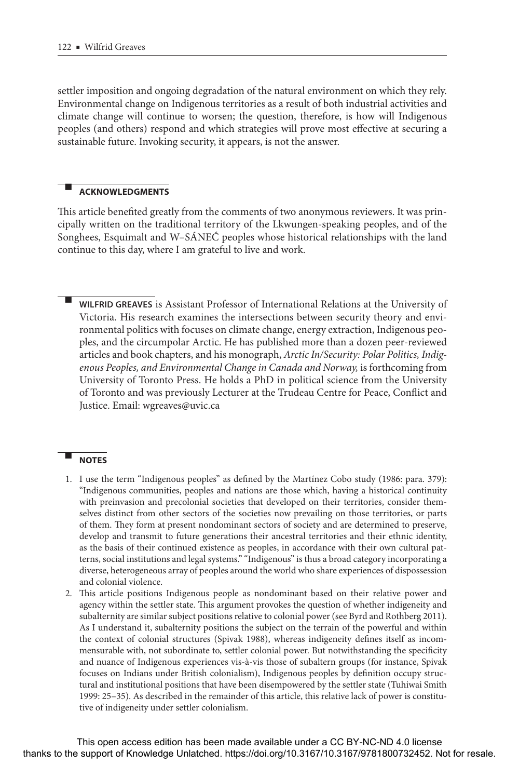settler imposition and ongoing degradation of the natural environment on which they rely. Environmental change on Indigenous territories as a result of both industrial activities and climate change will continue to worsen; the question, therefore, is how will Indigenous peoples (and others) respond and which strategies will prove most effective at securing a sustainable future. Invoking security, it appears, is not the answer.

### n **ACKNOWLEDGMENTS**

This article benefited greatly from the comments of two anonymous reviewers. It was principally written on the traditional territory of the Lkwungen-speaking peoples, and of the Songhees, Esquimalt and W–SÁNEĆ peoples whose historical relationships with the land continue to this day, where I am grateful to live and work.

n **WILFRID GREAVES** is Assistant Professor of International Relations at the University of Victoria. His research examines the intersections between security theory and environmental politics with focuses on climate change, energy extraction, Indigenous peoples, and the circumpolar Arctic. He has published more than a dozen peer-reviewed articles and book chapters, and his monograph, *Arctic In/Security: Polar Politics, Indigenous Peoples, and Environmental Change in Canada and Norway,* is forthcoming from University of Toronto Press. He holds a PhD in political science from the University of Toronto and was previously Lecturer at the Trudeau Centre for Peace, Conflict and Justice. Email: wgreaves@uvic.ca

### **NOTES**

- 1. I use the term "Indigenous peoples" as defined by the Martínez Cobo study (1986: para. 379): "Indigenous communities, peoples and nations are those which, having a historical continuity with preinvasion and precolonial societies that developed on their territories, consider themselves distinct from other sectors of the societies now prevailing on those territories, or parts of them. They form at present nondominant sectors of society and are determined to preserve, develop and transmit to future generations their ancestral territories and their ethnic identity, as the basis of their continued existence as peoples, in accordance with their own cultural patterns, social institutions and legal systems." "Indigenous" is thus a broad category incorporating a diverse, heterogeneous array of peoples around the world who share experiences of dispossession and colonial violence.
- 2. This article positions Indigenous people as nondominant based on their relative power and agency within the settler state. This argument provokes the question of whether indigeneity and subalternity are similar subject positions relative to colonial power (see Byrd and Rothberg 2011). As I understand it, subalternity positions the subject on the terrain of the powerful and within the context of colonial structures (Spivak 1988), whereas indigeneity defines itself as incommensurable with, not subordinate to, settler colonial power. But notwithstanding the specificity and nuance of Indigenous experiences vis-à-vis those of subaltern groups (for instance, Spivak focuses on Indians under British colonialism), Indigenous peoples by definition occupy structural and institutional positions that have been disempowered by the settler state (Tuhiwai Smith 1999: 25–35). As described in the remainder of this article, this relative lack of power is constitutive of indigeneity under settler colonialism.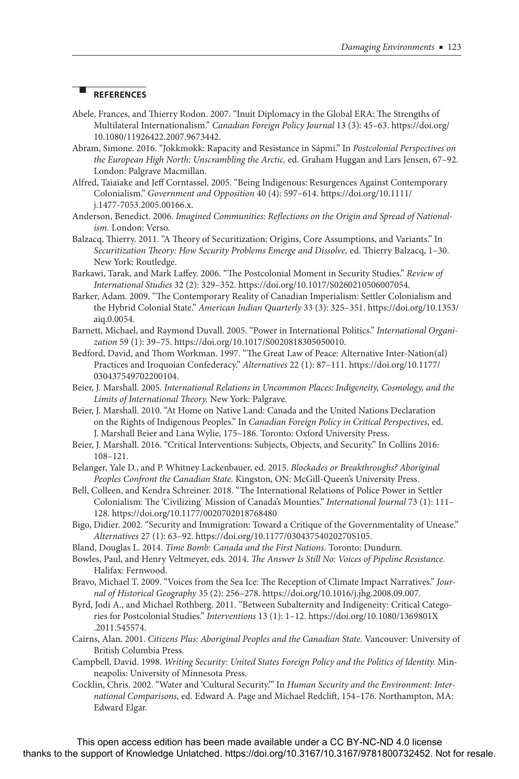# n **REFERENCES**

- Abele, Frances, and Thierry Rodon. 2007. "Inuit Diplomacy in the Global ERA: The Strengths of Multilateral Internationalism." *Canadian Foreign Policy Journal* 13 (3): 45–63. https://doi.org/ 10.1080/11926422.2007.9673442.
- Abram, Simone. 2016. "Jokkmokk: Rapacity and Resistance in Sápmi." In *Postcolonial Perspectives on the European High North: Unscrambling the Arctic,* ed. Graham Huggan and Lars Jensen, 67–92. London: Palgrave Macmillan.
- Alfred, Taiaiake and Jeff Corntassel. 2005. "Being Indigenous: Resurgences Against Contemporary Colonialism." *Government and Opposition* 40 (4): 597–614. https://doi.org/10.1111/ j.1477-7053.2005.00166.x.
- Anderson, Benedict. 2006. *Imagined Communities: Reflections on the Origin and Spread of Nationalism.* London: Verso.
- Balzacq, Thierry. 2011. "A Theory of Securitization: Origins, Core Assumptions, and Variants." In *Securitization Theory: How Security Problems Emerge and Dissolve,* ed. Thierry Balzacq, 1–30. New York: Routledge.
- Barkawi, Tarak, and Mark Laffey. 2006. "The Postcolonial Moment in Security Studies." *Review of International Studies* 32 (2): 329–352. https://doi.org/10.1017/S0260210506007054.
- Barker, Adam. 2009. "The Contemporary Reality of Canadian Imperialism: Settler Colonialism and the Hybrid Colonial State." *American Indian Quarterly* 33 (3): 325–351. https://doi.org/10.1353/ aiq.0.0054.
- Barnett, Michael, and Raymond Duvall. 2005. "Power in International Politics." *International Organization* 59 (1): 39–75. https://doi.org/10.1017/S0020818305050010.
- Bedford, David, and Thom Workman. 1997. "The Great Law of Peace: Alternative Inter-Nation(al) Practices and Iroquoian Confederacy." *Alternatives* 22 (1): 87–111. https://doi.org/10.1177/ 030437549702200104.
- Beier, J. Marshall. 2005. *International Relations in Uncommon Places: Indigeneity, Cosmology, and the Limits of International Theory.* New York: Palgrave.
- Beier, J. Marshall. 2010. "At Home on Native Land: Canada and the United Nations Declaration on the Rights of Indigenous Peoples." In *Canadian Foreign Policy in Critical Perspectives,* ed. J. Marshall Beier and Lana Wylie, 175–186. Toronto: Oxford University Press.
- Beier, J. Marshall. 2016. "Critical Interventions: Subjects, Objects, and Security." In Collins 2016: 108–121.
- Belanger, Yale D., and P. Whitney Lackenbauer, ed. 2015. *Blockades or Breakthroughs? Aboriginal Peoples Confront the Canadian State.* Kingston, ON: McGill-Queen's University Press.
- Bell, Colleen, and Kendra Schreiner. 2018. "The International Relations of Police Power in Settler Colonialism: The 'Civilizing' Mission of Canada's Mounties." *International Journal* 73 (1): 111– 128. https://doi.org/10.1177/0020702018768480
- Bigo, Didier. 2002. "Security and Immigration: Toward a Critique of the Governmentality of Unease." *Alternatives* 27 (1): 63–92. https://doi.org/10.1177/03043754020270S105.
- Bland, Douglas L. 2014. *Time Bomb: Canada and the First Nations.* Toronto: Dundurn.
- Bowles, Paul, and Henry Veltmeyer, eds. 2014. *The Answer Is Still No: Voices of Pipeline Resistance.* Halifax: Fernwood.
- Bravo, Michael T. 2009. "Voices from the Sea Ice: The Reception of Climate Impact Narratives." *Journal of Historical Geography* 35 (2): 256–278. https://doi.org/10.1016/j.jhg.2008.09.007.
- Byrd, Jodi A., and Michael Rothberg. 2011. "Between Subalternity and Indigeneity: Critical Categories for Postcolonial Studies." *Interventions* 13 (1): 1–12. https://doi.org/10.1080/1369801X .2011.545574.
- Cairns, Alan. 2001. *Citizens Plus: Aboriginal Peoples and the Canadian State.* Vancouver: University of British Columbia Press.
- Campbell, David. 1998. *Writing Security: United States Foreign Policy and the Politics of Identity.* Minneapolis: University of Minnesota Press.
- Cocklin, Chris. 2002. "Water and 'Cultural Security.'" In *Human Security and the Environment: International Comparisons,* ed. Edward A. Page and Michael Redclift, 154–176. Northampton, MA: Edward Elgar.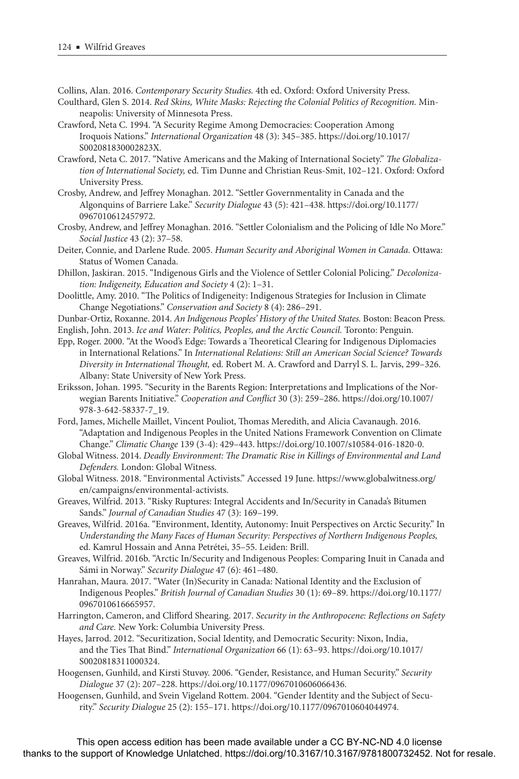Collins, Alan. 2016. *Contemporary Security Studies.* 4th ed. Oxford: Oxford University Press.

- Coulthard, Glen S. 2014. *Red Skins, White Masks: Rejecting the Colonial Politics of Recognition.* Minneapolis: University of Minnesota Press.
- Crawford, Neta C. 1994. "A Security Regime Among Democracies: Cooperation Among Iroquois Nations." *International Organization* 48 (3): 345–385. https://doi.org/10.1017/ S002081830002823X.
- Crawford, Neta C. 2017. "Native Americans and the Making of International Society." *The Globalization of International Society,* ed. Tim Dunne and Christian Reus-Smit, 102–121. Oxford: Oxford University Press.
- Crosby, Andrew, and Jeffrey Monaghan. 2012. "Settler Governmentality in Canada and the Algonquins of Barriere Lake." *Security Dialogue* 43 (5): 421–438. https://doi.org/10.1177/ 0967010612457972.
- Crosby, Andrew, and Jeffrey Monaghan. 2016. "Settler Colonialism and the Policing of Idle No More." *Social Justice* 43 (2): 37–58.
- Deiter, Connie, and Darlene Rude. 2005. *Human Security and Aboriginal Women in Canada.* Ottawa: Status of Women Canada.
- Dhillon, Jaskiran. 2015. "Indigenous Girls and the Violence of Settler Colonial Policing." *Decolonization: Indigeneity, Education and Society* 4 (2): 1–31.
- Doolittle, Amy. 2010. "The Politics of Indigeneity: Indigenous Strategies for Inclusion in Climate Change Negotiations." *Conservation and Society* 8 (4): 286–291.
- Dunbar-Ortiz, Roxanne. 2014. *An Indigenous Peoples' History of the United States.* Boston: Beacon Press.
- English, John. 2013. *Ice and Water: Politics, Peoples, and the Arctic Council.* Toronto: Penguin.
- Epp, Roger. 2000. "At the Wood's Edge: Towards a Theoretical Clearing for Indigenous Diplomacies in International Relations." In *International Relations: Still an American Social Science? Towards Diversity in International Thought,* ed. Robert M. A. Crawford and Darryl S. L. Jarvis, 299–326. Albany: State University of New York Press.
- Eriksson, Johan. 1995. "Security in the Barents Region: Interpretations and Implications of the Norwegian Barents Initiative." *Cooperation and Conflict* 30 (3): 259–286. https://doi.org/10.1007/ 978-3-642-58337-7\_19.
- Ford, James, Michelle Maillet, Vincent Pouliot, Thomas Meredith, and Alicia Cavanaugh. 2016. "Adaptation and Indigenous Peoples in the United Nations Framework Convention on Climate Change." *Climatic Change* 139 (3-4): 429–443. https://doi.org/10.1007/s10584-016-1820-0.
- Global Witness. 2014. *Deadly Environment: The Dramatic Rise in Killings of Environmental and Land Defenders.* London: Global Witness.
- Global Witness. 2018. "Environmental Activists." Accessed 19 June. https://www.globalwitness.org/ en/campaigns/environmental-activists.
- Greaves, Wilfrid. 2013. "Risky Ruptures: Integral Accidents and In/Security in Canada's Bitumen Sands." *Journal of Canadian Studies* 47 (3): 169–199.
- Greaves, Wilfrid. 2016a. "Environment, Identity, Autonomy: Inuit Perspectives on Arctic Security." In *Understanding the Many Faces of Human Security: Perspectives of Northern Indigenous Peoples,* ed. Kamrul Hossain and Anna Petrétei, 35–55. Leiden: Brill.
- Greaves, Wilfrid. 2016b. "Arctic In/Security and Indigenous Peoples: Comparing Inuit in Canada and Sámi in Norway." *Security Dialogue* 47 (6): 461–480.
- Hanrahan, Maura. 2017. "Water (In)Security in Canada: National Identity and the Exclusion of Indigenous Peoples." *British Journal of Canadian Studies* 30 (1): 69–89. https://doi.org/10.1177/ 0967010616665957.
- Harrington, Cameron, and Clifford Shearing. 2017. *Security in the Anthropocene: Reflections on Safety and Care.* New York: Columbia University Press.
- Hayes, Jarrod. 2012. "Securitization, Social Identity, and Democratic Security: Nixon, India, and the Ties That Bind." *International Organization* 66 (1): 63–93. https://doi.org/10.1017/ S0020818311000324.
- Hoogensen, Gunhild, and Kirsti Stuvøy. 2006. "Gender, Resistance, and Human Security." *Security Dialogue* 37 (2): 207–228. https://doi.org/10.1177/0967010606066436.
- Hoogensen, Gunhild, and Svein Vigeland Rottem. 2004. "Gender Identity and the Subject of Security." *Security Dialogue* 25 (2): 155–171. https://doi.org/10.1177/0967010604044974.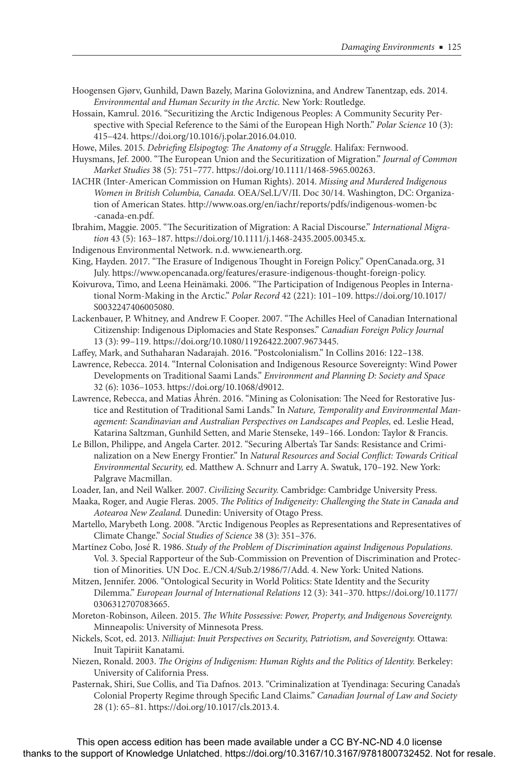- Hoogensen Gjørv, Gunhild, Dawn Bazely, Marina Goloviznina, and Andrew Tanentzap, eds. 2014. *Environmental and Human Security in the Arctic.* New York: Routledge.
- Hossain, Kamrul. 2016. "Securitizing the Arctic Indigenous Peoples: A Community Security Perspective with Special Reference to the Sámi of the European High North." *Polar Science* 10 (3): 415–424. https://doi.org/10.1016/j.polar.2016.04.010.

Howe, Miles. 2015. *Debriefing Elsipogtog: The Anatomy of a Struggle.* Halifax: Fernwood.

- Huysmans, Jef. 2000. "The European Union and the Securitization of Migration." *Journal of Common Market Studies* 38 (5): 751–777. https://doi.org/10.1111/1468-5965.00263.
- IACHR (Inter-American Commission on Human Rights). 2014. *Missing and Murdered Indigenous Women in British Columbia, Canada.* OEA/Sel.L/V/II. Doc 30/14. Washington, DC: Organization of American States. http://www.oas.org/en/iachr/reports/pdfs/indigenous-women-bc -canada-en.pdf.
- Ibrahim, Maggie. 2005. "The Securitization of Migration: A Racial Discourse." *International Migration* 43 (5): 163–187. https://doi.org/10.1111/j.1468-2435.2005.00345.x.
- Indigenous Environmental Network. n.d. www.ienearth.org.
- King, Hayden. 2017. "The Erasure of Indigenous Thought in Foreign Policy." OpenCanada.org, 31 July. https://www.opencanada.org/features/erasure-indigenous-thought-foreign-policy.
- Koivurova, Timo, and Leena Heinämaki. 2006. "The Participation of Indigenous Peoples in International Norm-Making in the Arctic." *Polar Record* 42 (221): 101–109. https://doi.org/10.1017/ S0032247406005080.
- Lackenbauer, P. Whitney, and Andrew F. Cooper. 2007. "The Achilles Heel of Canadian International Citizenship: Indigenous Diplomacies and State Responses." *Canadian Foreign Policy Journal*  13 (3): 99–119. https://doi.org/10.1080/11926422.2007.9673445.
- Laffey, Mark, and Suthaharan Nadarajah. 2016. "Postcolonialism." In Collins 2016: 122–138.
- Lawrence, Rebecca. 2014. "Internal Colonisation and Indigenous Resource Sovereignty: Wind Power Developments on Traditional Saami Lands." *Environment and Planning D: Society and Space* 32 (6): 1036–1053. https://doi.org/10.1068/d9012.
- Lawrence, Rebecca, and Matias Åhrén. 2016. "Mining as Colonisation: The Need for Restorative Justice and Restitution of Traditional Sami Lands." In *Nature, Temporality and Environmental Management: Scandinavian and Australian Perspectives on Landscapes and Peoples,* ed. Leslie Head, Katarina Saltzman, Gunhild Setten, and Marie Stenseke, 149–166. London: Taylor & Francis.
- Le Billon, Philippe, and Angela Carter. 2012. "Securing Alberta's Tar Sands: Resistance and Criminalization on a New Energy Frontier." In *Natural Resources and Social Conflict: Towards Critical Environmental Security,* ed. Matthew A. Schnurr and Larry A. Swatuk, 170–192. New York: Palgrave Macmillan.

Loader, Ian, and Neil Walker. 2007. *Civilizing Security.* Cambridge: Cambridge University Press.

- Maaka, Roger, and Augie Fleras. 2005. *The Politics of Indigeneity: Challenging the State in Canada and Aotearoa New Zealand.* Dunedin: University of Otago Press.
- Martello, Marybeth Long. 2008. "Arctic Indigenous Peoples as Representations and Representatives of Climate Change." *Social Studies of Science* 38 (3): 351–376.
- Martínez Cobo, José R. 1986. *Study of the Problem of Discrimination against Indigenous Populations.* Vol. 3. Special Rapporteur of the Sub-Commission on Prevention of Discrimination and Protection of Minorities. UN Doc. E./CN.4/Sub.2/1986/7/Add. 4. New York: United Nations.
- Mitzen, Jennifer. 2006. "Ontological Security in World Politics: State Identity and the Security Dilemma." *European Journal of International Relations* 12 (3): 341–370. https://doi.org/10.1177/ 0306312707083665.
- Moreton-Robinson, Aileen. 2015. *The White Possessive: Power, Property, and Indigenous Sovereignty.*  Minneapolis: University of Minnesota Press.
- Nickels, Scot, ed. 2013. *Nilliajut: Inuit Perspectives on Security, Patriotism, and Sovereignty.* Ottawa: Inuit Tapiriit Kanatami.
- Niezen, Ronald. 2003. *The Origins of Indigenism: Human Rights and the Politics of Identity.* Berkeley: University of California Press.
- Pasternak, Shiri, Sue Collis, and Tia Dafnos. 2013. "Criminalization at Tyendinaga: Securing Canada's Colonial Property Regime through Specific Land Claims." *Canadian Journal of Law and Society*  28 (1): 65–81. https://doi.org/10.1017/cls.2013.4.